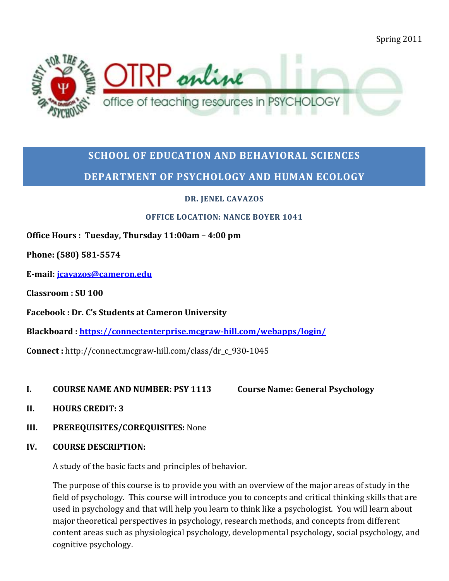Spring 2011



# **SCHOOL OF EDUCATION AND BEHAVIORAL SCIENCES DEPARTMENT OF PSYCHOLOGY AND HUMAN ECOLOGY**

**DR. JENEL CAVAZOS**

#### **OFFICE LOCATION: NANCE BOYER 1041**

## **Office Hours : Tuesday, Thursday 11:00am – 4:00 pm**

**Phone: (580) 581-5574**

**E-mail: [jcavazos@cameron.edu](mailto:jcavazos@cameron.edu)**

**Classroom : SU 100**

**Facebook : Dr. C's Students at Cameron University**

**Blackboard :<https://connectenterprise.mcgraw-hill.com/webapps/login/>**

**Connect :** http://connect.mcgraw-hill.com/class/dr\_c\_930-1045

**I. COURSE NAME AND NUMBER: PSY 1113 Course Name: General Psychology**

- **II. HOURS CREDIT: 3**
- **III. PREREQUISITES/COREQUISITES:** None
- **IV. COURSE DESCRIPTION:**

A study of the basic facts and principles of behavior.

The purpose of this course is to provide you with an overview of the major areas of study in the field of psychology. This course will introduce you to concepts and critical thinking skills that are used in psychology and that will help you learn to think like a psychologist. You will learn about major theoretical perspectives in psychology, research methods, and concepts from different content areas such as physiological psychology, developmental psychology, social psychology, and cognitive psychology.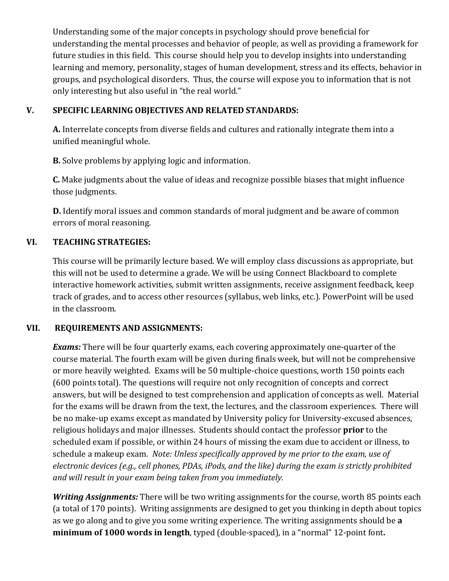Understanding some of the major concepts in psychology should prove beneficial for understanding the mental processes and behavior of people, as well as providing a framework for future studies in this field. This course should help you to develop insights into understanding learning and memory, personality, stages of human development, stress and its effects, behavior in groups, and psychological disorders. Thus, the course will expose you to information that is not only interesting but also useful in "the real world."

#### **V. SPECIFIC LEARNING OBJECTIVES AND RELATED STANDARDS:**

**A.** Interrelate concepts from diverse fields and cultures and rationally integrate them into a unified meaningful whole.

**B.** Solve problems by applying logic and information.

**C.** Make judgments about the value of ideas and recognize possible biases that might influence those judgments.

**D.** Identify moral issues and common standards of moral judgment and be aware of common errors of moral reasoning.

#### **VI. TEACHING STRATEGIES:**

This course will be primarily lecture based. We will employ class discussions as appropriate, but this will not be used to determine a grade. We will be using Connect Blackboard to complete interactive homework activities, submit written assignments, receive assignment feedback, keep track of grades, and to access other resources (syllabus, web links, etc.). PowerPoint will be used in the classroom.

#### **VII. REQUIREMENTS AND ASSIGNMENTS:**

*Exams:* There will be four quarterly exams, each covering approximately one-quarter of the course material. The fourth exam will be given during finals week, but will not be comprehensive or more heavily weighted. Exams will be 50 multiple-choice questions, worth 150 points each (600 points total). The questions will require not only recognition of concepts and correct answers, but will be designed to test comprehension and application of concepts as well. Material for the exams will be drawn from the text, the lectures, and the classroom experiences. There will be no make-up exams except as mandated by University policy for University-excused absences, religious holidays and major illnesses. Students should contact the professor **prior** to the scheduled exam if possible, or within 24 hours of missing the exam due to accident or illness, to schedule a makeup exam. *Note: Unless specifically approved by me prior to the exam, use of electronic devices (e.g., cell phones, PDAs, iPods, and the like) during the exam is strictly prohibited and will result in your exam being taken from you immediately.*

*Writing Assignments:* There will be two writing assignments for the course, worth 85 points each (a total of 170 points). Writing assignments are designed to get you thinking in depth about topics as we go along and to give you some writing experience. The writing assignments should be **a minimum of 1000 words in length**, typed (double-spaced), in a "normal" 12-point font**.**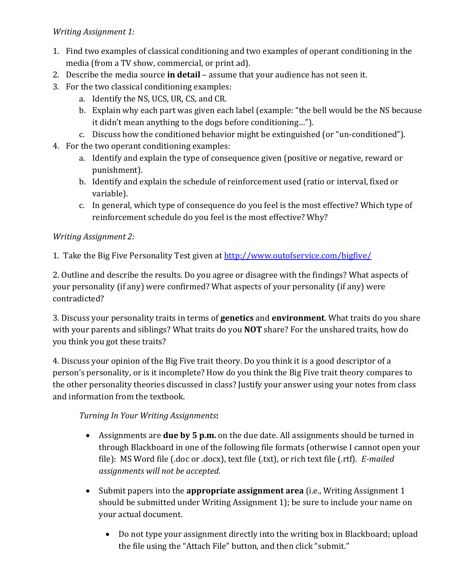#### *Writing Assignment 1:*

- 1. Find two examples of classical conditioning and two examples of operant conditioning in the media (from a TV show, commercial, or print ad).
- 2. Describe the media source **in detail** assume that your audience has not seen it.
- 3. For the two classical conditioning examples:
	- a. Identify the NS, UCS, UR, CS, and CR.
	- b. Explain why each part was given each label (example: "the bell would be the NS because it didn't mean anything to the dogs before conditioning…").
	- c. Discuss how the conditioned behavior might be extinguished (or "un-conditioned").
- 4. For the two operant conditioning examples:
	- a. Identify and explain the type of consequence given (positive or negative, reward or punishment).
	- b. Identify and explain the schedule of reinforcement used (ratio or interval, fixed or variable).
	- c. In general, which type of consequence do you feel is the most effective? Which type of reinforcement schedule do you feel is the most effective? Why?

## *Writing Assignment 2:*

1. Take the Big Five Personality Test given at<http://www.outofservice.com/bigfive/>

2. Outline and describe the results. Do you agree or disagree with the findings? What aspects of your personality (if any) were confirmed? What aspects of your personality (if any) were contradicted?

3. Discuss your personality traits in terms of **genetics** and **environment**. What traits do you share with your parents and siblings? What traits do you **NOT** share? For the unshared traits, how do you think you got these traits?

4. Discuss your opinion of the Big Five trait theory. Do you think it is a good descriptor of a person's personality, or is it incomplete? How do you think the Big Five trait theory compares to the other personality theories discussed in class? Justify your answer using your notes from class and information from the textbook.

*Turning In Your Writing Assignments***:**

- Assignments are **due by 5 p.m.** on the due date. All assignments should be turned in through Blackboard in one of the following file formats (otherwise I cannot open your file): MS Word file (.doc or .docx), text file (.txt), or rich text file (.rtf). *E-mailed assignments will not be accepted.*
- Submit papers into the **appropriate assignment area** (i.e., Writing Assignment 1 should be submitted under Writing Assignment 1); be sure to include your name on your actual document.
	- Do not type your assignment directly into the writing box in Blackboard; upload the file using the "Attach File" button, and then click "submit."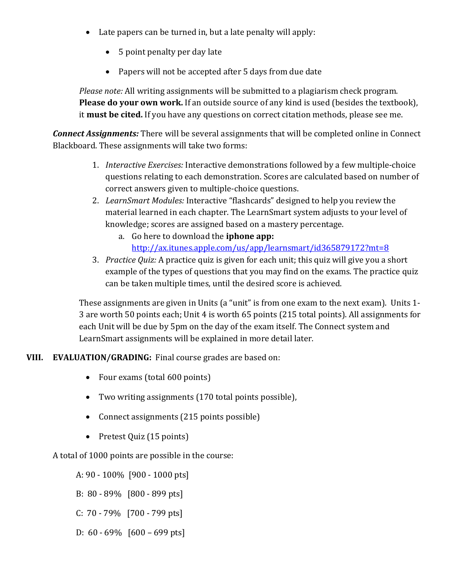- Late papers can be turned in, but a late penalty will apply:
	- 5 point penalty per day late
	- Papers will not be accepted after 5 days from due date

*Please note:* All writing assignments will be submitted to a plagiarism check program. **Please do your own work.** If an outside source of any kind is used (besides the textbook), it **must be cited.** If you have any questions on correct citation methods, please see me.

*Connect Assignments:* There will be several assignments that will be completed online in Connect Blackboard. These assignments will take two forms:

- 1. *Interactive Exercises:* Interactive demonstrations followed by a few multiple-choice questions relating to each demonstration. Scores are calculated based on number of correct answers given to multiple-choice questions.
- 2. *LearnSmart Modules:* Interactive "flashcards" designed to help you review the material learned in each chapter. The LearnSmart system adjusts to your level of knowledge; scores are assigned based on a mastery percentage.
	- a. Go here to download the **iphone app:** <http://ax.itunes.apple.com/us/app/learnsmart/id365879172?mt=8>
- 3. *Practice Quiz:* A practice quiz is given for each unit; this quiz will give you a short example of the types of questions that you may find on the exams. The practice quiz can be taken multiple times, until the desired score is achieved.

These assignments are given in Units (a "unit" is from one exam to the next exam). Units 1- 3 are worth 50 points each; Unit 4 is worth 65 points (215 total points). All assignments for each Unit will be due by 5pm on the day of the exam itself. The Connect system and LearnSmart assignments will be explained in more detail later.

**VIII. EVALUATION/GRADING:** Final course grades are based on:

- Four exams (total 600 points)
- Two writing assignments (170 total points possible),
- Connect assignments (215 points possible)
- Pretest Quiz (15 points)

A total of 1000 points are possible in the course:

A: 90 - 100% [900 - 1000 pts]

- B: 80 89% [800 899 pts]
- C: 70 79% [700 799 pts]
- D: 60 69% [600 699 pts]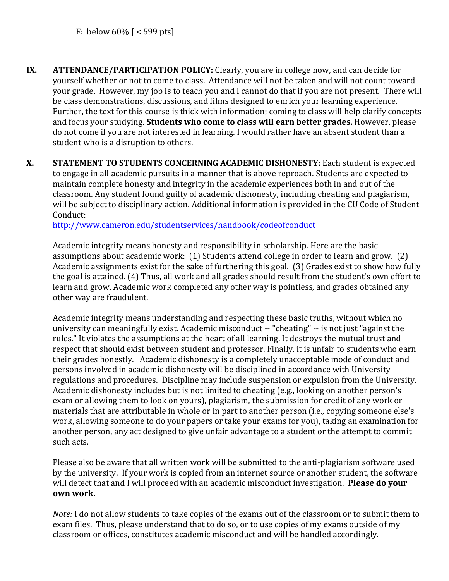- **IX. ATTENDANCE/PARTICIPATION POLICY:** Clearly, you are in college now, and can decide for yourself whether or not to come to class. Attendance will not be taken and will not count toward your grade. However, my job is to teach you and I cannot do that if you are not present. There will be class demonstrations, discussions, and films designed to enrich your learning experience. Further, the text for this course is thick with information; coming to class will help clarify concepts and focus your studying. **Students who come to class will earn better grades.** However, please do not come if you are not interested in learning. I would rather have an absent student than a student who is a disruption to others.
- **X. STATEMENT TO STUDENTS CONCERNING ACADEMIC DISHONESTY:** Each student is expected to engage in all academic pursuits in a manner that is above reproach. Students are expected to maintain complete honesty and integrity in the academic experiences both in and out of the classroom. Any student found guilty of academic dishonesty, including cheating and plagiarism, will be subject to disciplinary action. Additional information is provided in the CU Code of Student Conduct:

<http://www.cameron.edu/studentservices/handbook/codeofconduct>

Academic integrity means honesty and responsibility in scholarship. Here are the basic assumptions about academic work: (1) Students attend college in order to learn and grow. (2) Academic assignments exist for the sake of furthering this goal. (3) Grades exist to show how fully the goal is attained. (4) Thus, all work and all grades should result from the student's own effort to learn and grow. Academic work completed any other way is pointless, and grades obtained any other way are fraudulent.

Academic integrity means understanding and respecting these basic truths, without which no university can meaningfully exist. Academic misconduct -- "cheating" -- is not just "against the rules." It violates the assumptions at the heart of all learning. It destroys the mutual trust and respect that should exist between student and professor. Finally, it is unfair to students who earn their grades honestly. Academic dishonesty is a completely unacceptable mode of conduct and persons involved in academic dishonesty will be disciplined in accordance with University regulations and procedures. Discipline may include suspension or expulsion from the University. Academic dishonesty includes but is not limited to cheating (e.g., looking on another person's exam or allowing them to look on yours), plagiarism, the submission for credit of any work or materials that are attributable in whole or in part to another person (i.e., copying someone else's work, allowing someone to do your papers or take your exams for you), taking an examination for another person, any act designed to give unfair advantage to a student or the attempt to commit such acts.

Please also be aware that all written work will be submitted to the anti-plagiarism software used by the university. If your work is copied from an internet source or another student, the software will detect that and I will proceed with an academic misconduct investigation. **Please do your own work.**

*Note:* I do not allow students to take copies of the exams out of the classroom or to submit them to exam files. Thus, please understand that to do so, or to use copies of my exams outside of my classroom or offices, constitutes academic misconduct and will be handled accordingly.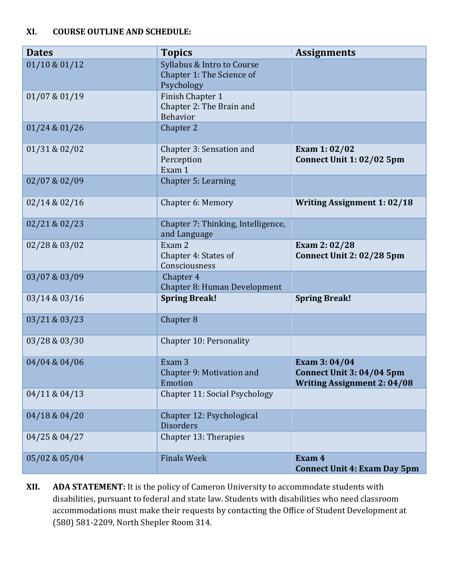#### **XI. COURSE OUTLINE AND SCHEDULE:**

| <b>Dates</b>  | <b>Topics</b>                                                         | <b>Assignments</b>                                                              |
|---------------|-----------------------------------------------------------------------|---------------------------------------------------------------------------------|
| 01/10 & 01/12 | Syllabus & Intro to Course<br>Chapter 1: The Science of<br>Psychology |                                                                                 |
| 01/07 & 01/19 | Finish Chapter 1<br>Chapter 2: The Brain and<br><b>Behavior</b>       |                                                                                 |
| 01/24 & 01/26 | Chapter 2                                                             |                                                                                 |
| 01/31 & 02/02 | Chapter 3: Sensation and<br>Perception<br>Exam 1                      | Exam 1:02/02<br>Connect Unit 1: 02/02 5pm                                       |
| 02/07 & 02/09 | Chapter 5: Learning                                                   |                                                                                 |
| 02/14 & 02/16 | Chapter 6: Memory                                                     | <b>Writing Assignment 1: 02/18</b>                                              |
| 02/21 & 02/23 | Chapter 7: Thinking, Intelligence,<br>and Language                    |                                                                                 |
| 02/28 & 03/02 | Exam 2<br>Chapter 4: States of<br>Consciousness                       | Exam 2:02/28<br>Connect Unit 2: 02/28 5pm                                       |
| 03/07 & 03/09 | Chapter 4<br>Chapter 8: Human Development                             |                                                                                 |
| 03/14 & 03/16 | <b>Spring Break!</b>                                                  | <b>Spring Break!</b>                                                            |
| 03/21 & 03/23 | Chapter 8                                                             |                                                                                 |
| 03/28 & 03/30 | Chapter 10: Personality                                               |                                                                                 |
| 04/04 & 04/06 | Exam <sub>3</sub><br>Chapter 9: Motivation and<br>Emotion             | Exam 3:04/04<br>Connect Unit 3: 04/04 5pm<br><b>Writing Assignment 2: 04/08</b> |
| 04/11 & 04/13 | Chapter 11: Social Psychology                                         |                                                                                 |
| 04/18 & 04/20 | Chapter 12: Psychological<br><b>Disorders</b>                         |                                                                                 |
| 04/25 & 04/27 | Chapter 13: Therapies                                                 |                                                                                 |
| 05/02 & 05/04 | <b>Finals Week</b>                                                    | Exam 4<br><b>Connect Unit 4: Exam Day 5pm</b>                                   |

**XII. ADA STATEMENT:** It is the policy of Cameron University to accommodate students with disabilities, pursuant to federal and state law. Students with disabilities who need classroom accommodations must make their requests by contacting the Office of Student Development at (580) 581-2209, North Shepler Room 314.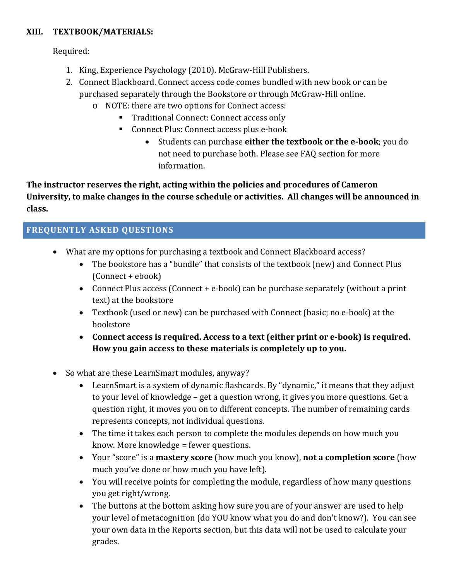#### **XIII. TEXTBOOK/MATERIALS:**

Required:

- 1. King, Experience Psychology (2010). McGraw-Hill Publishers.
- 2. Connect Blackboard. Connect access code comes bundled with new book or can be purchased separately through the Bookstore or through McGraw-Hill online.
	- o NOTE: there are two options for Connect access:
		- **Traditional Connect: Connect access only**
		- Connect Plus: Connect access plus e-book
			- Students can purchase **either the textbook or the e-book**; you do not need to purchase both. Please see FAQ section for more information.

**The instructor reserves the right, acting within the policies and procedures of Cameron University, to make changes in the course schedule or activities. All changes will be announced in class.**

# **FREQUENTLY ASKED QUESTIONS**

- What are my options for purchasing a textbook and Connect Blackboard access?
	- The bookstore has a "bundle" that consists of the textbook (new) and Connect Plus (Connect + ebook)
	- Connect Plus access (Connect + e-book) can be purchase separately (without a print text) at the bookstore
	- Textbook (used or new) can be purchased with Connect (basic; no e-book) at the bookstore
	- **Connect access is required. Access to a text (either print or e-book) is required. How you gain access to these materials is completely up to you.**
- So what are these LearnSmart modules, anyway?
	- LearnSmart is a system of dynamic flashcards. By "dynamic," it means that they adjust to your level of knowledge – get a question wrong, it gives you more questions. Get a question right, it moves you on to different concepts. The number of remaining cards represents concepts, not individual questions.
	- The time it takes each person to complete the modules depends on how much you know. More knowledge = fewer questions.
	- Your "score" is a **mastery score** (how much you know), **not a completion score** (how much you've done or how much you have left).
	- You will receive points for completing the module, regardless of how many questions you get right/wrong.
	- The buttons at the bottom asking how sure you are of your answer are used to help your level of metacognition (do YOU know what you do and don't know?). You can see your own data in the Reports section, but this data will not be used to calculate your grades.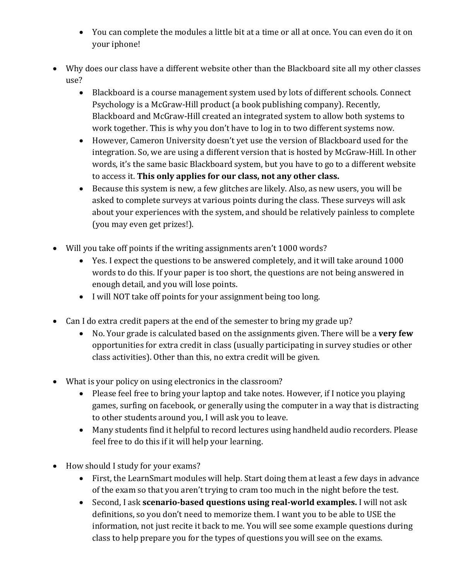- You can complete the modules a little bit at a time or all at once. You can even do it on your iphone!
- Why does our class have a different website other than the Blackboard site all my other classes use?
	- Blackboard is a course management system used by lots of different schools. Connect Psychology is a McGraw-Hill product (a book publishing company). Recently, Blackboard and McGraw-Hill created an integrated system to allow both systems to work together. This is why you don't have to log in to two different systems now.
	- However, Cameron University doesn't yet use the version of Blackboard used for the integration. So, we are using a different version that is hosted by McGraw-Hill. In other words, it's the same basic Blackboard system, but you have to go to a different website to access it. **This only applies for our class, not any other class.**
	- Because this system is new, a few glitches are likely. Also, as new users, you will be asked to complete surveys at various points during the class. These surveys will ask about your experiences with the system, and should be relatively painless to complete (you may even get prizes!).
- Will you take off points if the writing assignments aren't 1000 words?
	- Yes. I expect the questions to be answered completely, and it will take around 1000 words to do this. If your paper is too short, the questions are not being answered in enough detail, and you will lose points.
	- I will NOT take off points for your assignment being too long.
- Can I do extra credit papers at the end of the semester to bring my grade up?
	- No. Your grade is calculated based on the assignments given. There will be a **very few** opportunities for extra credit in class (usually participating in survey studies or other class activities). Other than this, no extra credit will be given.
- What is your policy on using electronics in the classroom?
	- Please feel free to bring your laptop and take notes. However, if I notice you playing games, surfing on facebook, or generally using the computer in a way that is distracting to other students around you, I will ask you to leave.
	- Many students find it helpful to record lectures using handheld audio recorders. Please feel free to do this if it will help your learning.
- How should I study for your exams?
	- First, the LearnSmart modules will help. Start doing them at least a few days in advance of the exam so that you aren't trying to cram too much in the night before the test.
	- Second, I ask **scenario-based questions using real-world examples.** I will not ask definitions, so you don't need to memorize them. I want you to be able to USE the information, not just recite it back to me. You will see some example questions during class to help prepare you for the types of questions you will see on the exams.